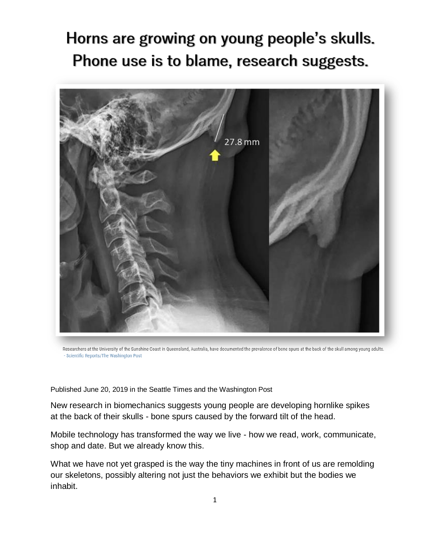## Horns are growing on young people's skulls. Phone use is to blame, research suggests.



Researchers at the University of the Sunshine Coast in Queensland, Australia, have documented the prevalence of bone spurs at the back of the skull among young adults. - Scientific Reports/The Washington Post

Published June 20, 2019 in the Seattle Times and the Washington Post

New research in biomechanics suggests young people are developing hornlike spikes at the back of their skulls - bone spurs caused by the forward tilt of the head.

Mobile technology has transformed the way we live - how we read, work, communicate, shop and date. But we already know this.

What we have not yet grasped is the way the tiny machines in front of us are remolding our skeletons, possibly altering not just the behaviors we exhibit but the bodies we inhabit.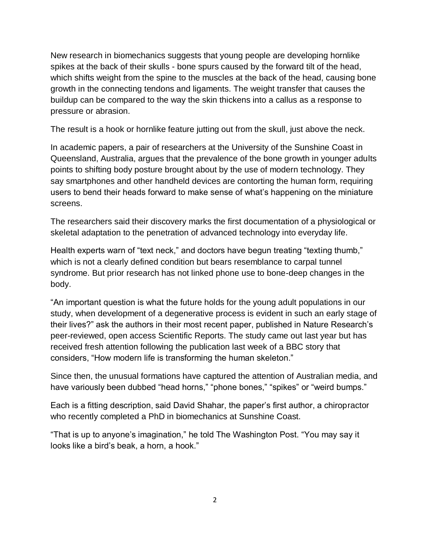New research in biomechanics suggests that young people are developing hornlike spikes at the back of their skulls - bone spurs caused by the forward tilt of the head, which shifts weight from the spine to the muscles at the back of the head, causing bone growth in the connecting tendons and ligaments. The weight transfer that causes the buildup can be compared to the way the skin thickens into a callus as a response to pressure or abrasion.

The result is a hook or hornlike feature jutting out from the skull, just above the neck.

In academic papers, a pair of researchers at the University of the Sunshine Coast in Queensland, Australia, argues that the prevalence of the bone growth in younger adults points to shifting body posture brought about by the use of modern technology. They say smartphones and other handheld devices are contorting the human form, requiring users to bend their heads forward to make sense of what's happening on the miniature screens.

The researchers said their discovery marks the first documentation of a physiological or skeletal adaptation to the penetration of advanced technology into everyday life.

Health experts warn of "text neck," and doctors have begun treating "texting thumb," which is not a clearly defined condition but bears resemblance to carpal tunnel syndrome. But prior research has not linked phone use to bone-deep changes in the body.

"An important question is what the future holds for the young adult populations in our study, when development of a degenerative process is evident in such an early stage of their lives?" ask the authors in their most recent paper, published in Nature Research's peer-reviewed, open access Scientific Reports. The study came out last year but has received fresh attention following the publication last week of a BBC story that considers, "How modern life is transforming the human skeleton."

Since then, the unusual formations have captured the attention of Australian media, and have variously been dubbed "head horns," "phone bones," "spikes" or "weird bumps."

Each is a fitting description, said David Shahar, the paper's first author, a chiropractor who recently completed a PhD in biomechanics at Sunshine Coast.

"That is up to anyone's imagination," he told The Washington Post. "You may say it looks like a bird's beak, a horn, a hook."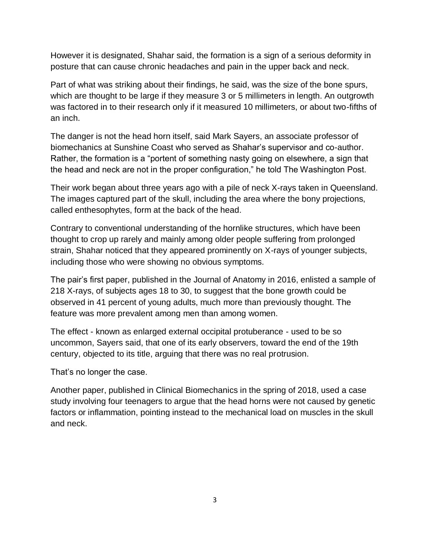However it is designated, Shahar said, the formation is a sign of a serious deformity in posture that can cause chronic headaches and pain in the upper back and neck.

Part of what was striking about their findings, he said, was the size of the bone spurs, which are thought to be large if they measure 3 or 5 millimeters in length. An outgrowth was factored in to their research only if it measured 10 millimeters, or about two-fifths of an inch.

The danger is not the head horn itself, said Mark Sayers, an associate professor of biomechanics at Sunshine Coast who served as Shahar's supervisor and co-author. Rather, the formation is a "portent of something nasty going on elsewhere, a sign that the head and neck are not in the proper configuration," he told The Washington Post.

Their work began about three years ago with a pile of neck X-rays taken in Queensland. The images captured part of the skull, including the area where the bony projections, called enthesophytes, form at the back of the head.

Contrary to conventional understanding of the hornlike structures, which have been thought to crop up rarely and mainly among older people suffering from prolonged strain, Shahar noticed that they appeared prominently on X-rays of younger subjects, including those who were showing no obvious symptoms.

The pair's first paper, published in the Journal of Anatomy in 2016, enlisted a sample of 218 X-rays, of subjects ages 18 to 30, to suggest that the bone growth could be observed in 41 percent of young adults, much more than previously thought. The feature was more prevalent among men than among women.

The effect - known as enlarged external occipital protuberance - used to be so uncommon, Sayers said, that one of its early observers, toward the end of the 19th century, objected to its title, arguing that there was no real protrusion.

That's no longer the case.

Another paper, published in Clinical Biomechanics in the spring of 2018, used a case study involving four teenagers to argue that the head horns were not caused by genetic factors or inflammation, pointing instead to the mechanical load on muscles in the skull and neck.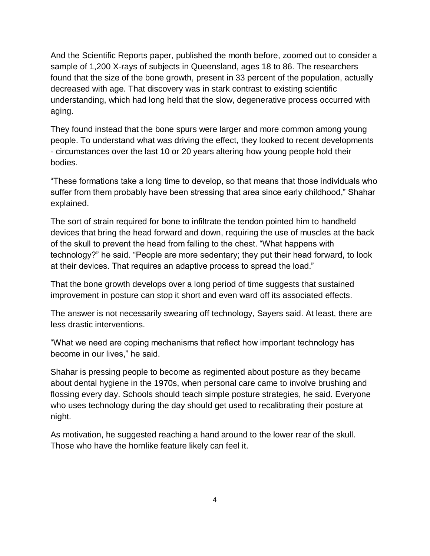And the Scientific Reports paper, published the month before, zoomed out to consider a sample of 1,200 X-rays of subjects in Queensland, ages 18 to 86. The researchers found that the size of the bone growth, present in 33 percent of the population, actually decreased with age. That discovery was in stark contrast to existing scientific understanding, which had long held that the slow, degenerative process occurred with aging.

They found instead that the bone spurs were larger and more common among young people. To understand what was driving the effect, they looked to recent developments - circumstances over the last 10 or 20 years altering how young people hold their bodies.

"These formations take a long time to develop, so that means that those individuals who suffer from them probably have been stressing that area since early childhood," Shahar explained.

The sort of strain required for bone to infiltrate the tendon pointed him to handheld devices that bring the head forward and down, requiring the use of muscles at the back of the skull to prevent the head from falling to the chest. "What happens with technology?" he said. "People are more sedentary; they put their head forward, to look at their devices. That requires an adaptive process to spread the load."

That the bone growth develops over a long period of time suggests that sustained improvement in posture can stop it short and even ward off its associated effects.

The answer is not necessarily swearing off technology, Sayers said. At least, there are less drastic interventions.

"What we need are coping mechanisms that reflect how important technology has become in our lives," he said.

Shahar is pressing people to become as regimented about posture as they became about dental hygiene in the 1970s, when personal care came to involve brushing and flossing every day. Schools should teach simple posture strategies, he said. Everyone who uses technology during the day should get used to recalibrating their posture at night.

As motivation, he suggested reaching a hand around to the lower rear of the skull. Those who have the hornlike feature likely can feel it.